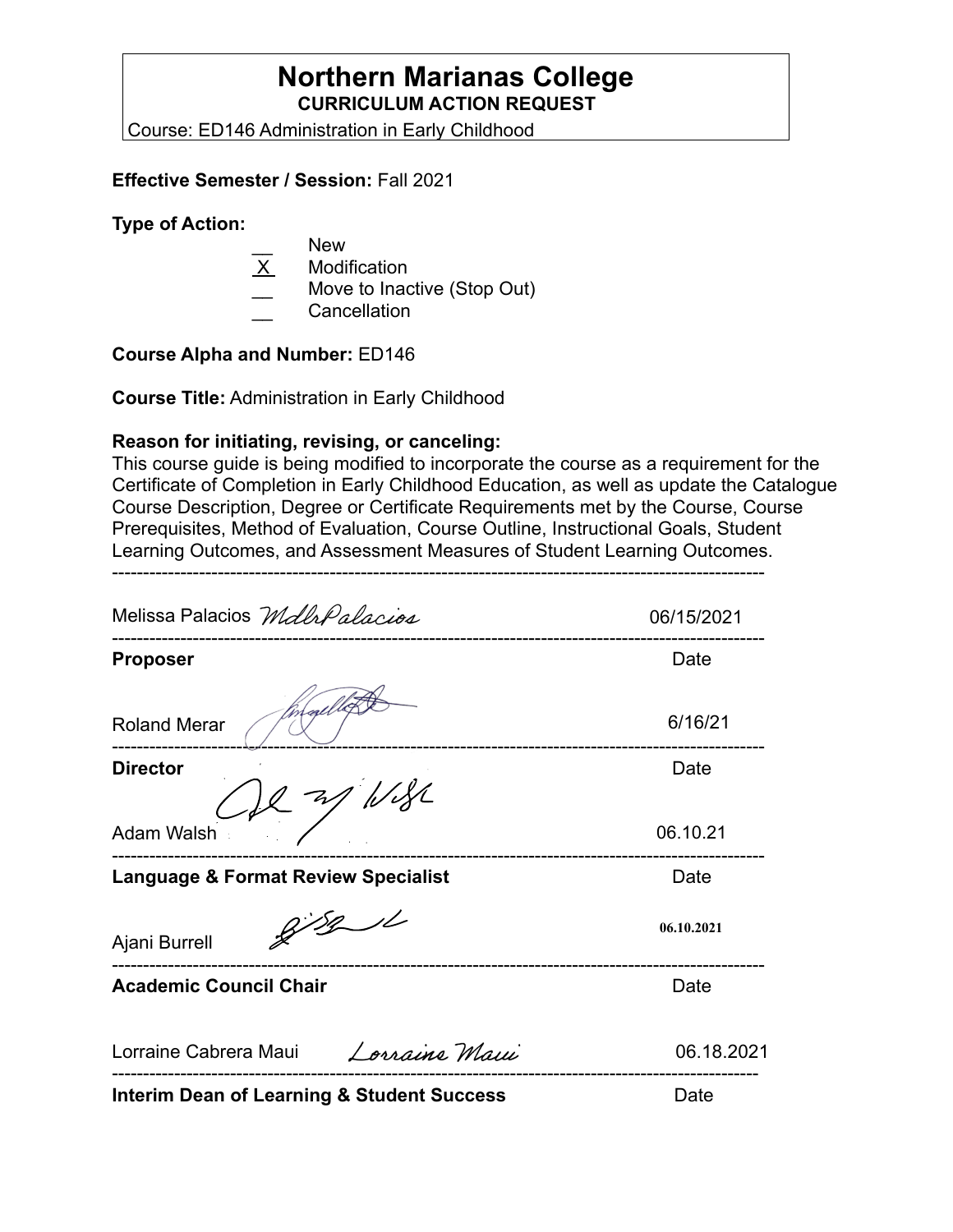# **Northern Marianas College CURRICULUM ACTION REQUEST**

Course: ED146 Administration in Early Childhood

### **Effective Semester / Session:** Fall 2021

#### **Type of Action:**

- New
- **Modification**
- Move to Inactive (Stop Out)
- \_\_ Cancellation

### **Course Alpha and Number:** ED146

**Course Title:** Administration in Early Childhood

### **Reason for initiating, revising, or canceling:**

This course guide is being modified to incorporate the course as a requirement for the Certificate of Completion in Early Childhood Education, as well as update the Catalogue Course Description, Degree or Certificate Requirements met by the Course, Course Prerequisites, Method of Evaluation, Course Outline, Instructional Goals, Student Learning Outcomes, and Assessment Measures of Student Learning Outcomes.

---------------------------------------------------------------------------------------------------------

Melissa Palacios Mdlr Palacios 06/15/2021 --------------------------------------------------------------------------------------------------------- **Proposer** Date 6/16/21 Roland Merar --------------------------------------------------------------------------------------------------------- **Director** Date **Date** Adam Walsh 06.10.21 --------------------------------------------------------------------------------------------------------- **Language & Format Review Specialist Canadiation Control Cate**  $9781$ **06.10.2021** Ajani Burrell --------------------------------------------------------------------------------------------------------- **Academic Council Chair <b>Date Date Date Date** Lorraine Cabrera Maui Lorraine Maui 06.18.2021 -------------------------------------------------------------------------------------------------------- **Interim Dean of Learning & Student Success** Date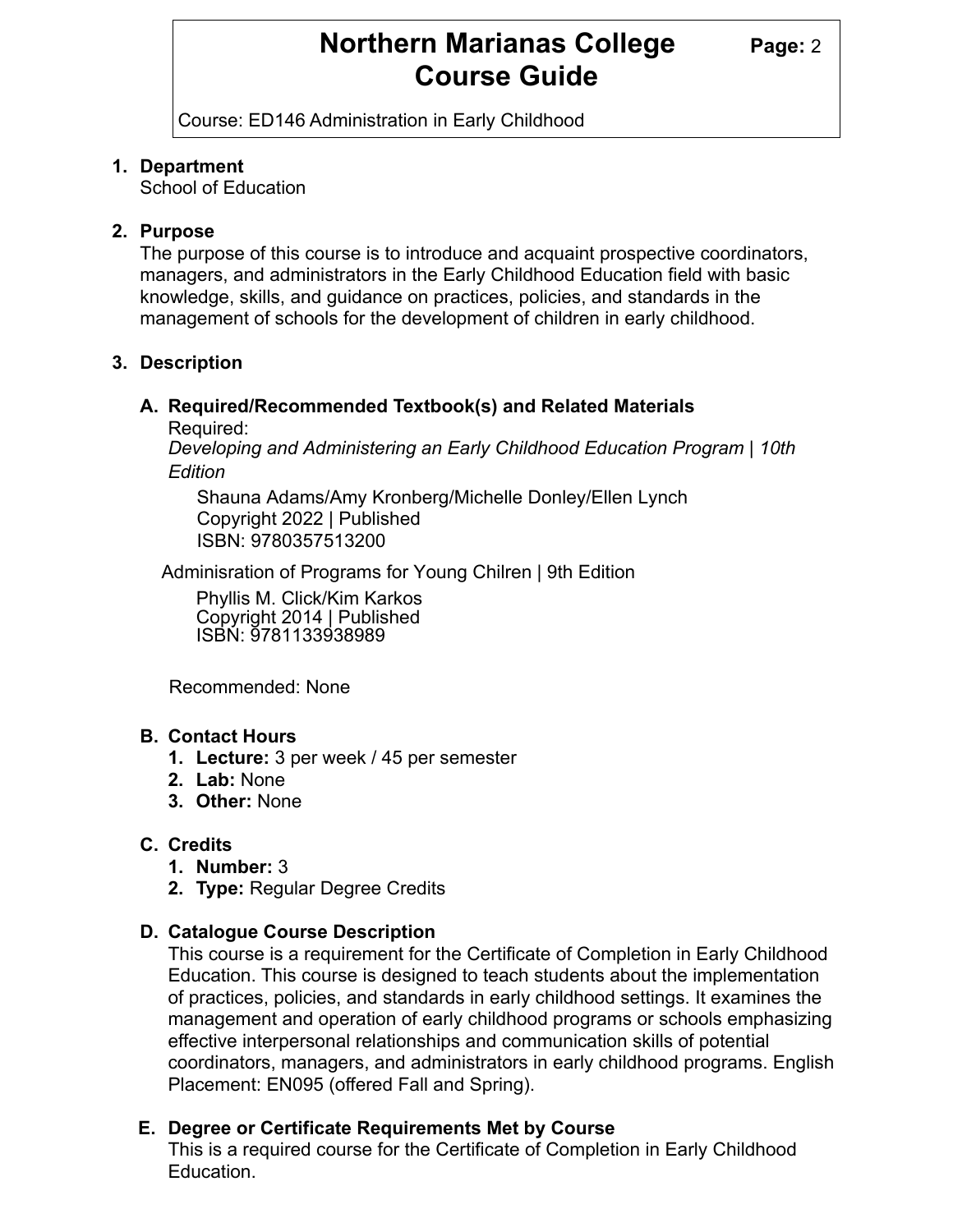# **Northern Marianas College Page: 2 Course Guide**

Course: ED146 Administration in Early Childhood

## **1. Department**

School of Education

## **2. Purpose**

The purpose of this course is to introduce and acquaint prospective coordinators, managers, and administrators in the Early Childhood Education field with basic knowledge, skills, and guidance on practices, policies, and standards in the management of schools for the development of children in early childhood.

## **3. Description**

# **A. Required/Recommended Textbook(s) and Related Materials**

Required:

*Developing and Administering an Early Childhood Education Program | 10th Edition*

Shauna Adams/Amy Kronberg/Michelle Donley/Ellen Lynch Copyright 2022 | Published ISBN: 9780357513200

Adminisration of Programs for Young Chilren | 9th Edition

Phyllis M. Click/Kim Karkos Copyright 2014 | Published ISBN: 9781133938989

Recommended: None

### **B. Contact Hours**

- **1. Lecture:** 3 per week / 45 per semester
- **2. Lab:** None
- **3. Other:** None

# **C. Credits**

- **1. Number:** 3
- **2. Type:** Regular Degree Credits

# **D. Catalogue Course Description**

This course is a requirement for the Certificate of Completion in Early Childhood Education. This course is designed to teach students about the implementation of practices, policies, and standards in early childhood settings. It examines the management and operation of early childhood programs or schools emphasizing effective interpersonal relationships and communication skills of potential coordinators, managers, and administrators in early childhood programs. English Placement: EN095 (offered Fall and Spring).

# **E. Degree or Certificate Requirements Met by Course**

This is a required course for the Certificate of Completion in Early Childhood Education.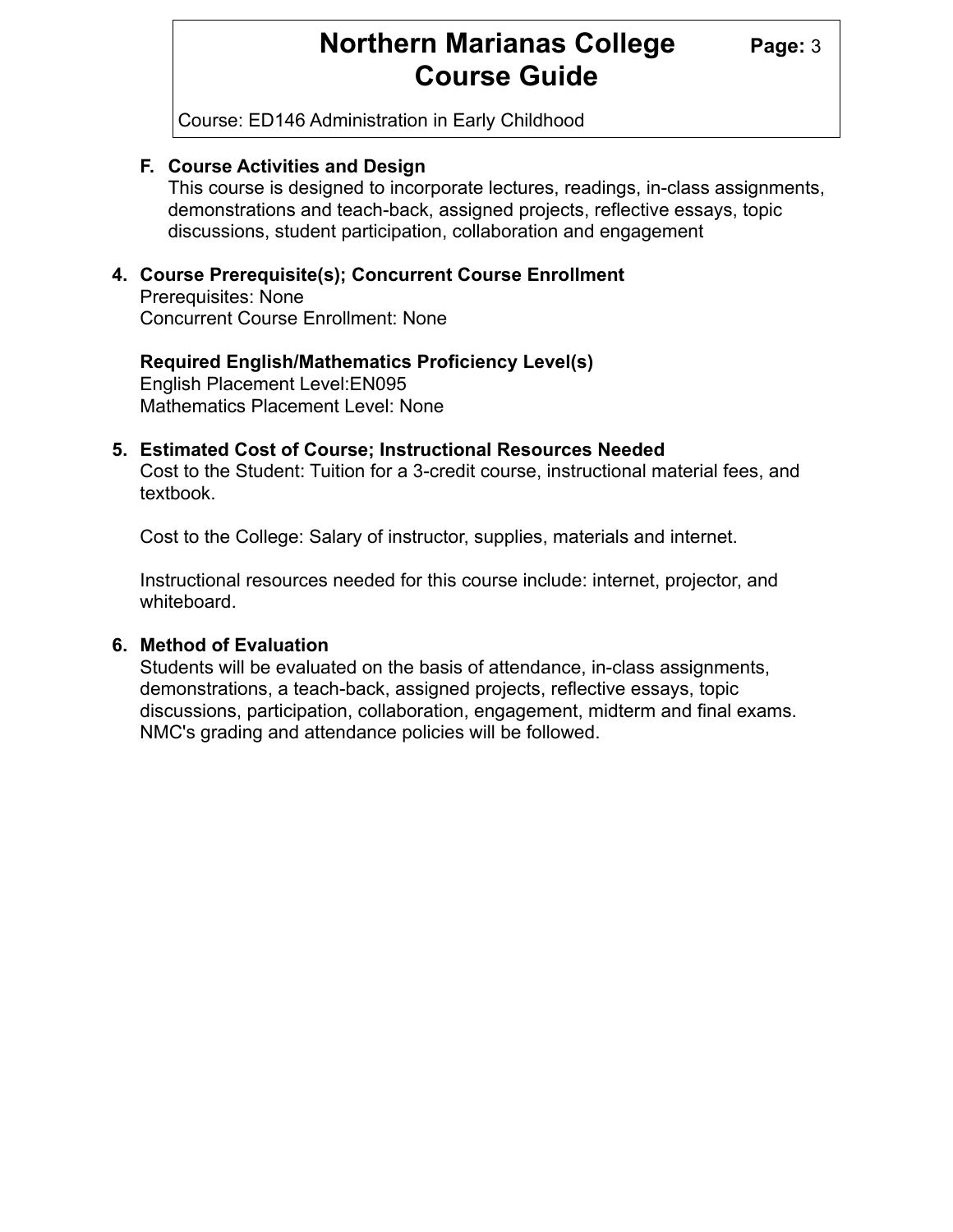# **Northern Marianas College Page: 3 Course Guide**

Course: ED146 Administration in Early Childhood

### **F. Course Activities and Design**

This course is designed to incorporate lectures, readings, in-class assignments, demonstrations and teach-back, assigned projects, reflective essays, topic discussions, student participation, collaboration and engagement

### **4. Course Prerequisite(s); Concurrent Course Enrollment**

 Prerequisites: None Concurrent Course Enrollment: None

### English Placement Level:EN095 Mathematics Placement Level: None **Required English/Mathematics Proficiency Level(s)**

## **5. Estimated Cost of Course; Instructional Resources Needed**

 Cost to the Student: Tuition for a 3-credit course, instructional material fees, and textbook.

Cost to the College: Salary of instructor, supplies, materials and internet.

 Instructional resources needed for this course include: internet, projector, and whiteboard.

### **6. Method of Evaluation**

 Students will be evaluated on the basis of attendance, in-class assignments, demonstrations, a teach-back, assigned projects, reflective essays, topic discussions, participation, collaboration, engagement, midterm and final exams. NMC's grading and attendance policies will be followed.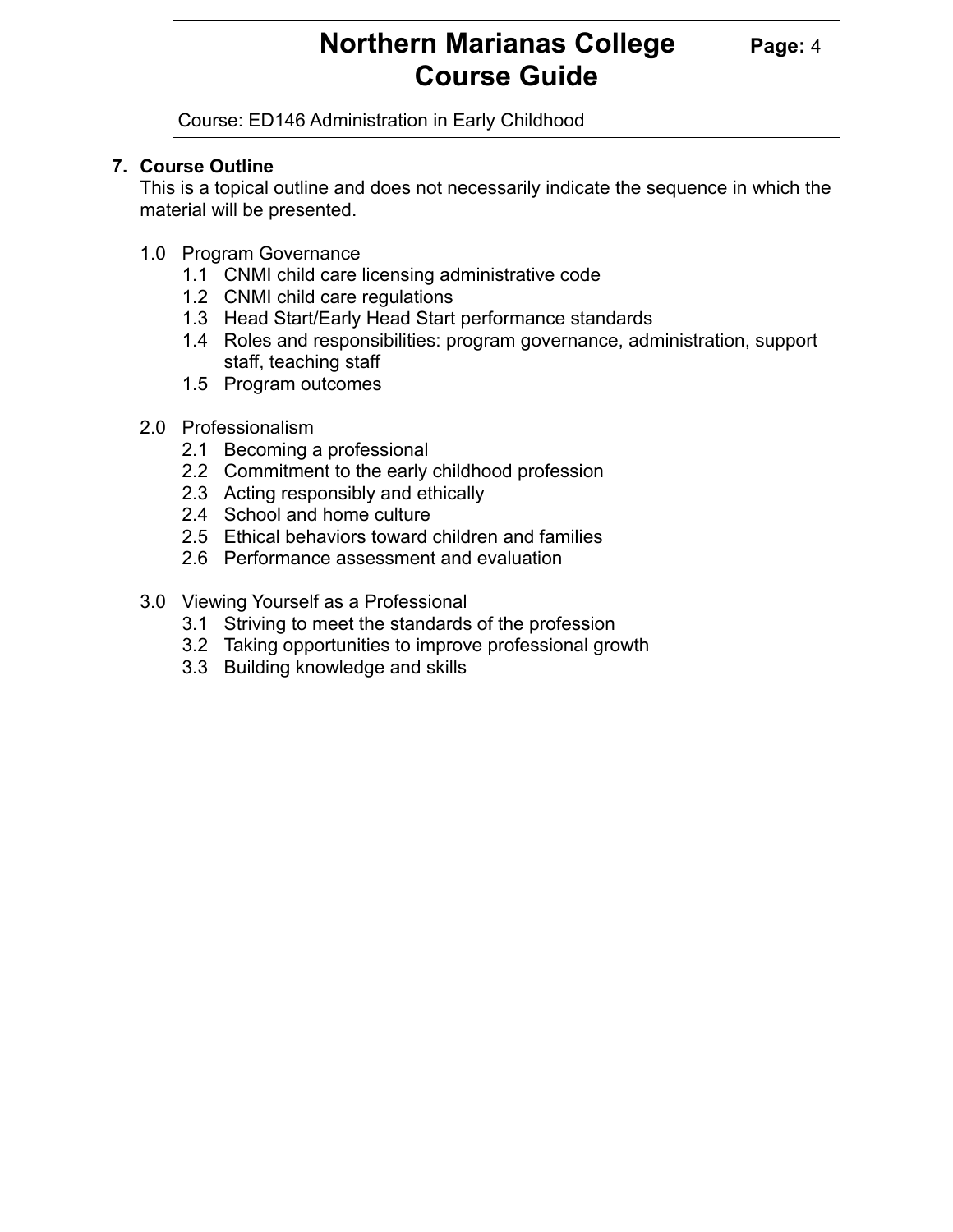# **Northern Marianas College Page: 4 Course Guide**

Course: ED146 Administration in Early Childhood

# **7. Course Outline**

 This is a topical outline and does not necessarily indicate the sequence in which the material will be presented.

- 1.0 Program Governance
	- 1.1 CNMI child care licensing administrative code
	- 1.2 CNMI child care regulations
	- 1.3 Head Start/Early Head Start performance standards
	- 1.4 Roles and responsibilities: program governance, administration, support staff, teaching staff
	- 1.5 Program outcomes
- 2.0 Professionalism
	- 2.1 Becoming a professional
	- 2.2 Commitment to the early childhood profession
	- 2.3 Acting responsibly and ethically
	- 2.4 School and home culture
	- 2.5 Ethical behaviors toward children and families
	- 2.6 Performance assessment and evaluation
- 3.0 Viewing Yourself as a Professional
	- 3.1 Striving to meet the standards of the profession
	- 3.2 Taking opportunities to improve professional growth
	- 3.3 Building knowledge and skills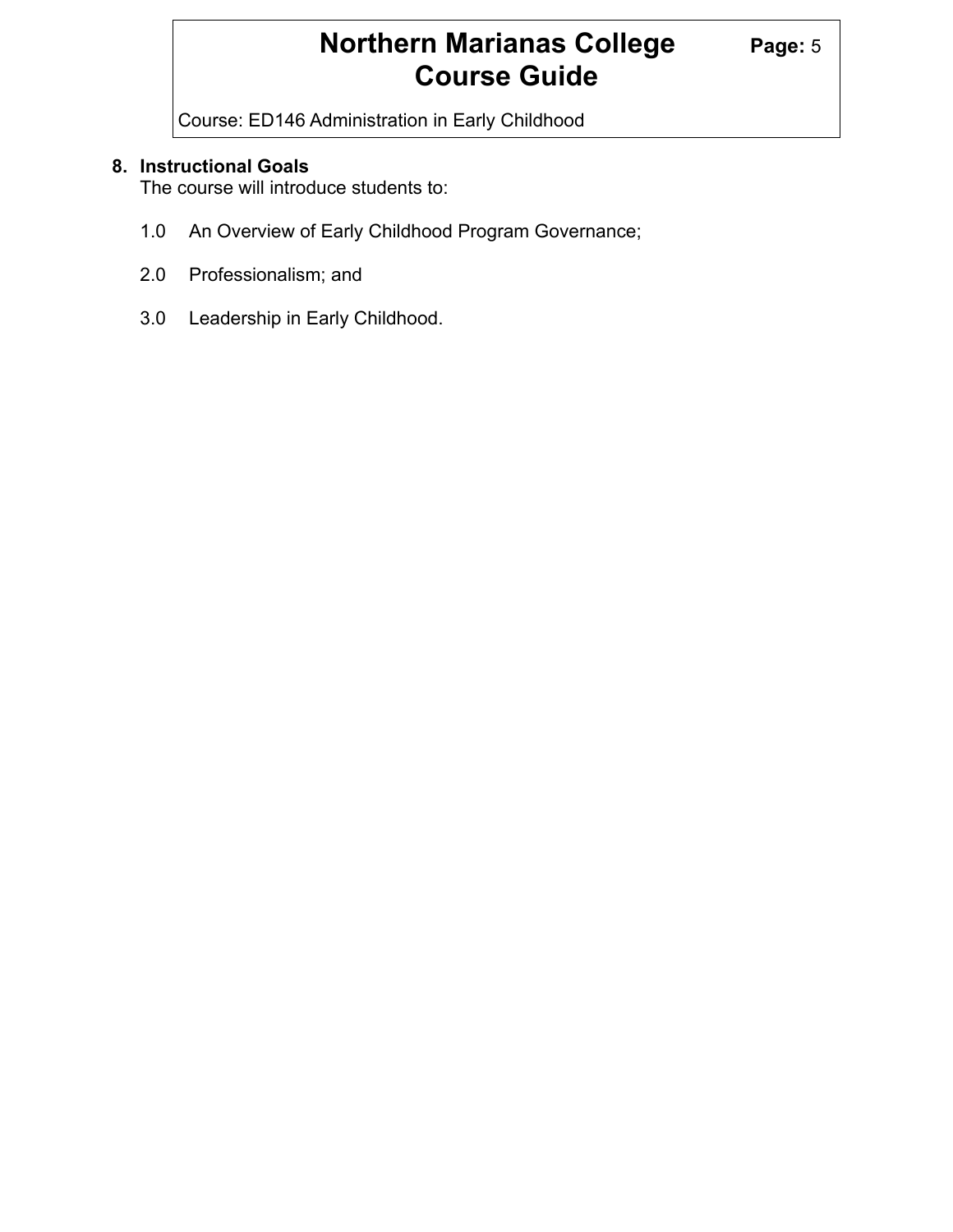# **Northern Marianas College** Page: 5 **Course Guide**

Course: ED146 Administration in Early Childhood

# **8. Instructional Goals**

The course will introduce students to:

- 1.0 An Overview of Early Childhood Program Governance;
- 2.0 Professionalism; and
- 3.0 Leadership in Early Childhood.